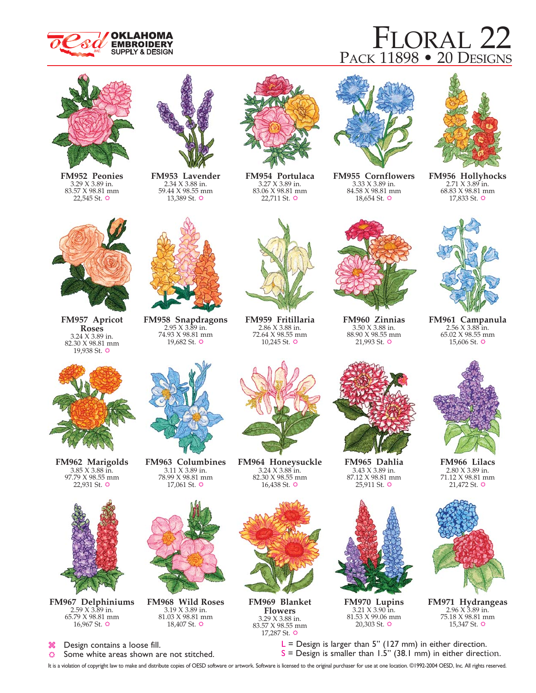

# FLORAL 22 PACK 11898 • 20 DESIGNS



**FM952 Peonies** 3.29 X 3.89 in. 83.57 X 98.81 mm 22,545 St.  $\ddot{\mathbf{\circ}}$ 



**FM953 Lavender** 2.34 X 3.88 in. 59.44 X 98.55 mm 13,389 St.  $\ddot{\mathbf{\circ}}$ 



**FM954 Portulaca** 3.27 X 3.89 in. 83.06 X 98.81 mm 22,711 St.  $\ddot{\mathbf{\circ}}$ 



**FM955 Cornflowers** 3.33 X 3.89 in. 84.58 X 98.81 mm  $18,654$  St.  $\ddot{\circ}$ 



**FM956 Hollyhocks** 2.71 X 3.89 in. 68.83 X 98.81 mm 17,833 St.  $\ddot{\mathbf{\circ}}$ 



**FM957 Apricot Roses** 3.24 X 3.89 in. 82.30 X 98.81 mm 19,938 St.  $\ddot{\varphi}$ 



**FM962 Marigolds** 3.85 X 3.88 in. 97.79 X 98.55 mm 22,931 St.  $\ddot{\mathbf{\circ}}$ 



**FM967 Delphiniums** 2.59 X 3.89 in. 65.79 X 98.81 mm 16,967 St.  $\ddot{\circ}$ 



 $\circ$ Some white areas shown are not stitched.

**FM958 Snapdragons**  $2.95 \times 3.89$  in. 74.93 X 98.81 mm 19,682 St.  $\ddot{\mathbf{\circ}}$ 

**FM963 Columbines** 3.11 X 3.89 in. 78.99 X 98.81 mm 17,061 St.  $\ddot{\circ}$ 

**FM968 Wild Roses** 3.19 X 3.89 in. 81.03 X 98.81 mm 18,407 St.  $\ddot{\varphi}$ 



**FM959 Fritillaria** 2.86 X 3.88 in. 72.64 X 98.55 mm  $10,245$  St.  $\Leftrightarrow$ 



**FM964 Honeysuckle** 3.24 X 3.88 in. 82.30 X 98.55 mm  $16,438$  St.  $\ddot{\varphi}$ 



**FM969 Blanket Flowers** 3.29 X 3.88 in. 83.57 X 98.55 mm 17,287 St.  $\ddot{\mathbf{\circ}}$ 



3.50 X 3.88 in. 88.90 X 98.55 mm 21,993 St.  $\ddot{\circ}$ 

3.43 X 3.89 in. 87.12 X 98.81 mm 25,911 St.  $\ddot{\circ}$ 

**FM970 Lupins** 3.21 X 3.90 in. 81.53 X 99.06 mm 20,303 St.  $\ddot{\circ}$ 



**FM961 Campanula** 2.56 X 3.88 in. 65.02 X 98.55 mm

**FM966 Lilacs** 2.80 X 3.89 in. 71.12 X 98.81 mm 21,472 St.  $\ddot{\mathbf{\circ}}$ 



**FM971 Hydrangeas** 2.96 X 3.89 in. 75.18 X 98.81 mm  $15,347$  St.  $\diamond$ 

 $L =$  Design is larger than 5" (127 mm) in either direction.  $S =$  Design is smaller than 1.5" (38.1 mm) in either direction.

It is a violation of copyright law to make and distribute copies of OESD software or artwork. Software is licensed to the original purchaser for use at one location. ©1992-2004 OESD, Inc. All rights reserved.